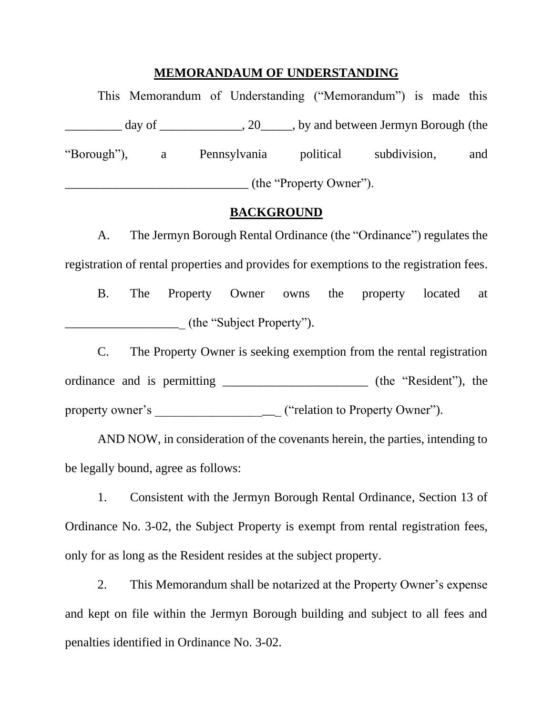## **MEMORANDAUM OF UNDERSTANDING**

|                         |  | This Memorandum of Understanding ("Memorandum") is made this                      |                        |  |     |
|-------------------------|--|-----------------------------------------------------------------------------------|------------------------|--|-----|
|                         |  | $day \text{ of }$ _________________, 20______, by and between Jermyn Borough (the |                        |  |     |
|                         |  | "Borough"), a Pennsylvania                                                        | political subdivision, |  | and |
| (the "Property Owner"). |  |                                                                                   |                        |  |     |

## **BACKGROUND**

A. The Jermyn Borough Rental Ordinance (the "Ordinance") regulates the registration of rental properties and provides for exemptions to the registration fees.

B. The Property Owner owns the property located at \_\_\_\_\_\_\_\_\_\_\_\_\_\_\_\_\_\_\_ (the "Subject Property").

C. The Property Owner is seeking exemption from the rental registration ordinance and is permitting \_\_\_\_\_\_\_\_\_\_\_\_\_\_\_\_\_\_\_\_\_\_\_ (the "Resident"), the property owner's \_\_\_\_\_\_\_\_\_\_\_\_\_\_\_\_\_\_\_\_ ("relation to Property Owner").

AND NOW, in consideration of the covenants herein, the parties, intending to be legally bound, agree as follows:

1. Consistent with the Jermyn Borough Rental Ordinance, Section 13 of Ordinance No. 3-02, the Subject Property is exempt from rental registration fees, only for as long as the Resident resides at the subject property.

2. This Memorandum shall be notarized at the Property Owner's expense and kept on file within the Jermyn Borough building and subject to all fees and penalties identified in Ordinance No. 3-02.